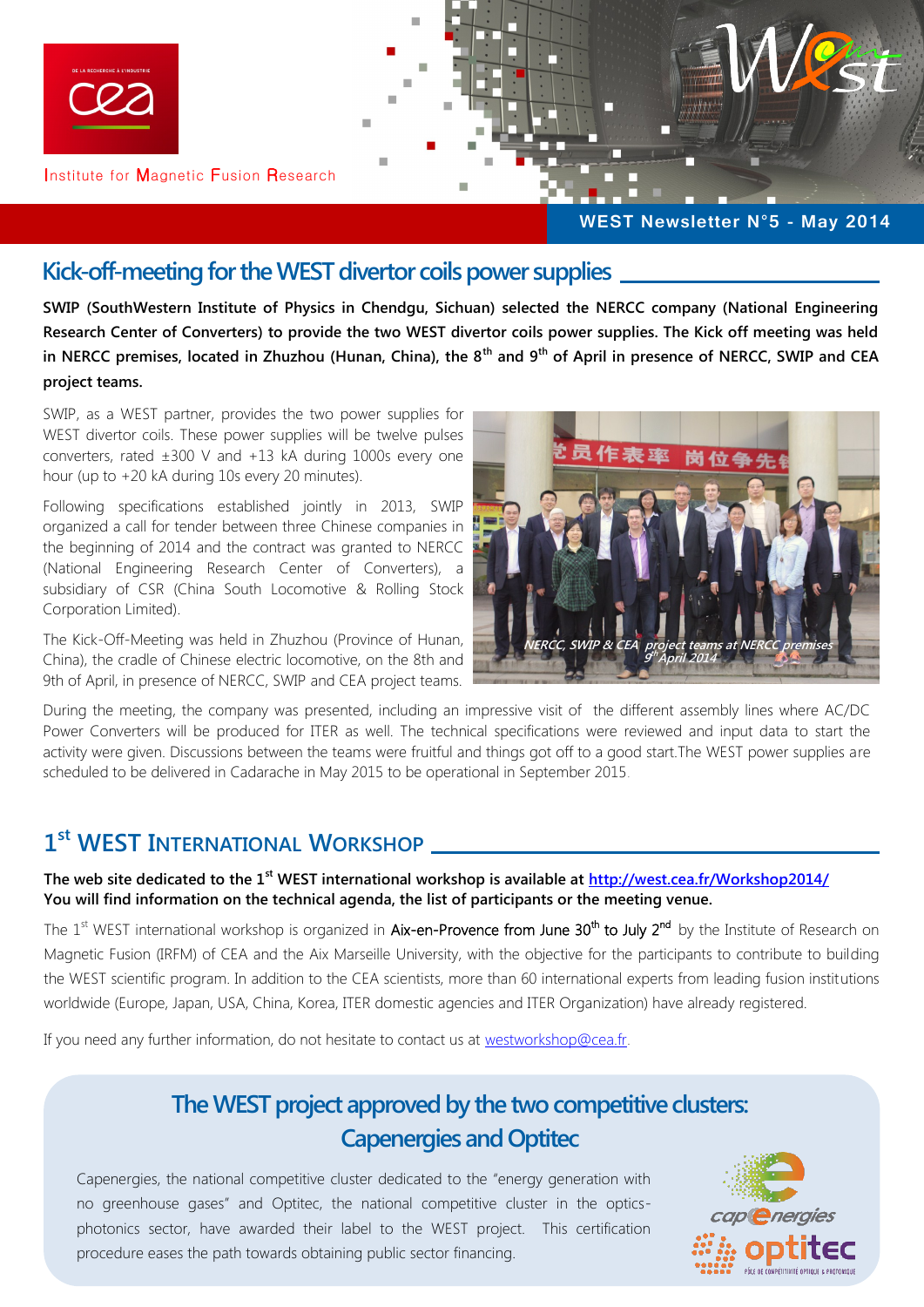

#### **Kick-off-meeting for the WEST divertor coils power supplies**

**SWIP (SouthWestern Institute of Physics in Chendgu, Sichuan) selected the NERCC company (National Engineering Research Center of Converters) to provide the two WEST divertor coils power supplies. The Kick off meeting was held in NERCC premises, located in Zhuzhou (Hunan, China), the 8th and 9th of April in presence of NERCC, SWIP and CEA project teams.**

SWIP, as a WEST partner, provides the two power supplies for WEST divertor coils. These power supplies will be twelve pulses converters, rated ±300 V and +13 kA during 1000s every one hour (up to +20 kA during 10s every 20 minutes).

Following specifications established jointly in 2013, SWIP organized a call for tender between three Chinese companies in the beginning of 2014 and the contract was granted to NERCC (National Engineering Research Center of Converters), a subsidiary of CSR (China South Locomotive & Rolling Stock Corporation Limited).

The Kick-Off-Meeting was held in Zhuzhou (Province of Hunan, China), the cradle of Chinese electric locomotive, on the 8th and 9th of April, in presence of NERCC, SWIP and CEA project teams.



During the meeting, the company was presented, including an impressive visit of the different assembly lines where AC/DC Power Converters will be produced for ITER as well. The technical specifications were reviewed and input data to start the activity were given. Discussions between the teams were fruitful and things got off to a good start.The WEST power supplies are scheduled to be delivered in Cadarache in May 2015 to be operational in September 2015.

## **1 st WEST INTERNATIONAL WORKSHOP**

**The web site dedicated to the 1st WEST international workshop is available at <http://west.cea.fr/Workshop2014/> You will find information on the technical agenda, the list of participants or the meeting venue.**

The 1<sup>st</sup> WEST international workshop is organized in Aix-en-Provence from June 30<sup>th</sup> to July 2<sup>nd</sup> by the Institute of Research on Magnetic Fusion (IRFM) of CEA and the Aix Marseille University, with the objective for the participants to contribute to building the WEST scientific program. In addition to the CEA scientists, more than 60 international experts from leading fusion institutions worldwide (Europe, Japan, USA, China, Korea, ITER domestic agencies and ITER Organization) have already registered.

If you need any further information, do not hesitate to contact us at [westworkshop@cea.fr.](mailto:westworkshop@cea.fr)

# **The WEST project approved by the two competitive clusters: Capenergies and Optitec**

Capenergies, the national competitive cluster dedicated to the "energy generation with no greenhouse gases" and Optitec, the national competitive cluster in the opticsphotonics sector, have awarded their label to the WEST project. This certification procedure eases the path towards obtaining public sector financing.